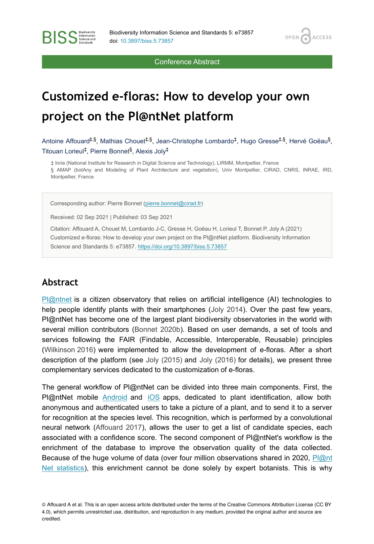**OPEN** 

**ACCESS** 

Conference Abstract

# **Customized e-floras: How to develop your own project on the Pl@ntNet platform**

Antoine Affouard<sup>‡,§</sup>, Mathias Chouet<sup>‡,§</sup>, Jean-Christophe Lombardo<sup>‡</sup>, Hugo Gresse<sup>‡,§</sup>, Hervé Goëau<sup>§</sup>, Titouan Lorieul<sup>‡</sup>, Pierre Bonnet<sup>§</sup>, Alexis Joly<sup>‡</sup>

‡ Inria (National Institute for Research in Digital Science and Technology), LIRMM, Montpellier, France § AMAP (botAny and Modeling of Plant Architecture and vegetation), Univ Montpellier, CIRAD, CNRS, INRAE, IRD, Montpellier, France

Corresponding author: Pierre Bonnet ([pierre.bonnet@cirad.fr](mailto:pierre.bonnet@cirad.fr))

Received: 02 Sep 2021 | Published: 03 Sep 2021

Citation: Affouard A, Chouet M, Lombardo J-C, Gresse H, Goëau H, Lorieul T, Bonnet P, Joly A (2021) Customized e-floras: How to develop your own project on the Pl@ntNet platform. Biodiversity Information Science and Standards 5: e73857.<https://doi.org/10.3897/biss.5.73857>

#### **Abstract**

**BISS** Steince and

[Pl@ntnet](https://plantnet.org/) is a citizen observatory that relies on artificial intelligence (AI) technologies to help people identify plants with their smartphones ([Joly 2014\)](#page-2-0). Over the past few years, Pl@ntNet has become one of the largest plant biodiversity observatories in the world with several million contributors [\(Bonnet 2020b](#page-2-1)). Based on user demands, a set of tools and services following the FAIR (Findable, Accessible, Interoperable, Reusable) principles [\(Wilkinson 2016](#page-3-0)) were implemented to allow the development of e-floras. After a short description of the platform (see [Joly \(2015\)](#page-2-2) and [Joly \(2016\)](#page-2-3) for details), we present three complementary services dedicated to the customization of e-floras.

The general workflow of Pl@ntNet can be divided into three main components. First, the Pl@ntNet mobile [Android](http://bit.ly/1K4D1eU) and [iOS](http://apple.co/2cMtWgu) apps, dedicated to plant identification, allow both anonymous and authenticated users to take a picture of a plant, and to send it to a server for recognition at the species level. This recognition, which is performed by a convolutional neural network ([Affouard 2017](#page-2-4)), allows the user to get a list of candidate species, each associated with a confidence score. The second component of Pl@ntNet's workflow is the enrichment of the database to improve the observation quality of the data collected. Because of the huge volume of data (over four million observations shared in 2020, [Pl@nt](https://identify.plantnet.org/stats) [Net statistics](https://identify.plantnet.org/stats)), this enrichment cannot be done solely by expert botanists. This is why

© Affouard A et al. This is an open access article distributed under the terms of the Creative Commons Attribution License (CC BY 4.0), which permits unrestricted use, distribution, and reproduction in any medium, provided the original author and source are credited.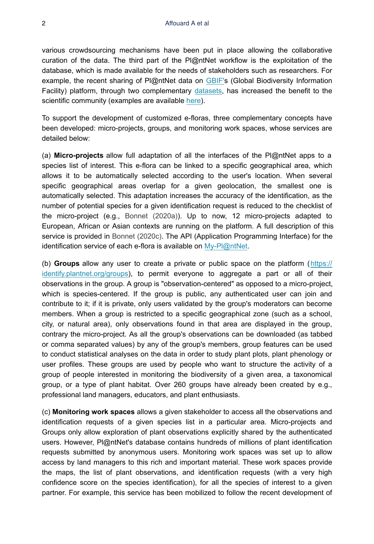various crowdsourcing mechanisms have been put in place allowing the collaborative curation of the data. The third part of the Pl@ntNet workflow is the exploitation of the database, which is made available for the needs of stakeholders such as researchers. For example, the recent sharing of Pl@ntNet data on [GBIF'](https://gbif.org/)s (Global Biodiversity Information Facility) platform, through two complementary [datasets](https://www.gbif.org/fr/publisher/da86174a-a605-43a4-a5e8-53d484152cd3), has increased the benefit to the scientific community (examples are available [here](https://www.gbif.org/resource/search?contentType=literature&publishingOrganizationKey=da86174a-a605-43a4-a5e8-53d484152cd3)).

To support the development of customized e-floras, three complementary concepts have been developed: micro-projects, groups, and monitoring work spaces, whose services are detailed below:

(a) **Micro-projects** allow full adaptation of all the interfaces of the Pl@ntNet apps to a species list of interest. This e-flora can be linked to a specific geographical area, which allows it to be automatically selected according to the user's location. When several specific geographical areas overlap for a given geolocation, the smallest one is automatically selected. This adaptation increases the accuracy of the identification, as the number of potential species for a given identification request is reduced to the checklist of the micro-project (e.g., [Bonnet \(2020a\)\)](#page-2-5). Up to now, 12 micro-projects adapted to European, African or Asian contexts are running on the platform. A full description of this service is provided in [Bonnet \(2020c\).](#page-2-6) The API (Application Programming Interface) for the identification service of each e-flora is available on [My-Pl@ntNet](https://my.plantnet.org/).

(b) **Groups** allow any user to create a private or public space on the platform ([https://](https://identify.plantnet.org/fr/groups) [identify.plantnet.org/groups](https://identify.plantnet.org/fr/groups)), to permit everyone to aggregate a part or all of their observations in the group. A group is "observation-centered" as opposed to a micro-project, which is species-centered. If the group is public, any authenticated user can join and contribute to it; if it is private, only users validated by the group's moderators can become members. When a group is restricted to a specific geographical zone (such as a school, city, or natural area), only observations found in that area are displayed in the group, contrary the micro-project. As all the group's observations can be downloaded (as tabbed or comma separated values) by any of the group's members, group features can be used to conduct statistical analyses on the data in order to study plant plots, plant phenology or user profiles. These groups are used by people who want to structure the activity of a group of people interested in monitoring the biodiversity of a given area, a taxonomical group, or a type of plant habitat. Over 260 groups have already been created by e.g., professional land managers, educators, and plant enthusiasts.

(c) **Monitoring work spaces** allows a given stakeholder to access all the observations and identification requests of a given species list in a particular area. Micro-projects and Groups only allow exploration of plant observations explicitly shared by the authenticated users. However, Pl@ntNet's database contains hundreds of millions of plant identification requests submitted by anonymous users. Monitoring work spaces was set up to allow access by land managers to this rich and important material. These work spaces provide the maps, the list of plant observations, and identification requests (with a very high confidence score on the species identification), for all the species of interest to a given partner. For example, this service has been mobilized to follow the recent development of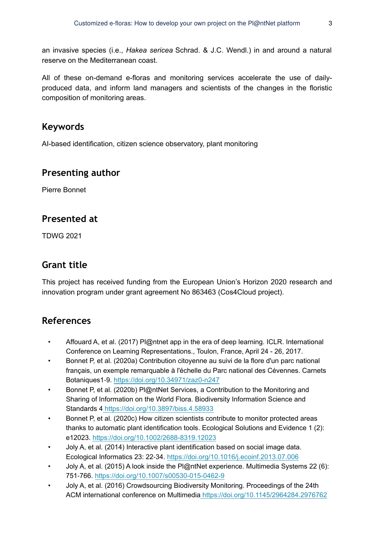an invasive species (i.e., *Hakea sericea* Schrad. & J.C. Wendl.) in and around a natural reserve on the Mediterranean coast.

All of these on-demand e-floras and monitoring services accelerate the use of dailyproduced data, and inform land managers and scientists of the changes in the floristic composition of monitoring areas.

### **Keywords**

AI-based identification, citizen science observatory, plant monitoring

#### **Presenting author**

Pierre Bonnet

#### **Presented at**

TDWG 2021

# **Grant title**

This project has received funding from the European Union's Horizon 2020 research and innovation program under grant agreement No 863463 (Cos4Cloud project).

## **References**

- <span id="page-2-4"></span>• Affouard A, et al. (2017) Pl@ntnet app in the era of deep learning. ICLR. International Conference on Learning Representations., Toulon, France, April 24 - 26, 2017.
- <span id="page-2-5"></span>• Bonnet P, et al. (2020a) Contribution citoyenne au suivi de la flore d'un parc national français, un exemple remarquable à l'échelle du Parc national des Cévennes. Carnets Botaniques1‑9.<https://doi.org/10.34971/zaz0-n247>
- <span id="page-2-1"></span>• Bonnet P, et al. (2020b) Pl@ntNet Services, a Contribution to the Monitoring and Sharing of Information on the World Flora. Biodiversity Information Science and Standards 4<https://doi.org/10.3897/biss.4.58933>
- <span id="page-2-6"></span>• Bonnet P, et al. (2020c) How citizen scientists contribute to monitor protected areas thanks to automatic plant identification tools. Ecological Solutions and Evidence 1 (2): e12023. <https://doi.org/10.1002/2688-8319.12023>
- <span id="page-2-0"></span>• Joly A, et al. (2014) Interactive plant identification based on social image data. Ecological Informatics 23: 22‑34. <https://doi.org/10.1016/j.ecoinf.2013.07.006>
- <span id="page-2-2"></span>• Joly A, et al. (2015) A look inside the Pl@ntNet experience. Multimedia Systems 22 (6): 751‑766. <https://doi.org/10.1007/s00530-015-0462-9>
- <span id="page-2-3"></span>• Joly A, et al. (2016) Crowdsourcing Biodiversity Monitoring. Proceedings of the 24th ACM international conference on Multimedia<https://doi.org/10.1145/2964284.2976762>